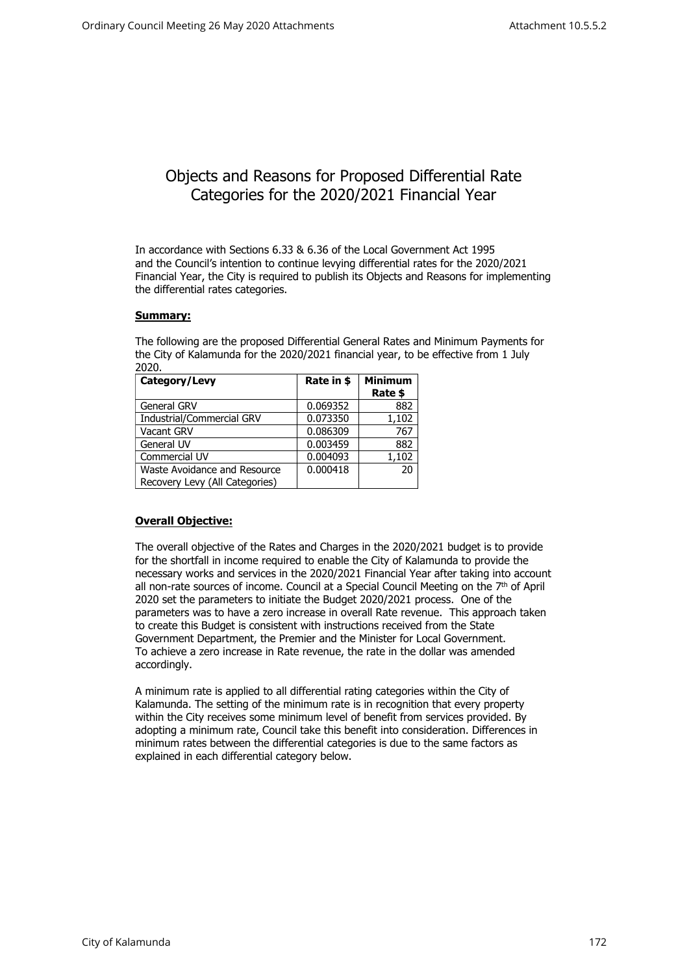# Objects and Reasons for Proposed Differential Rate Categories for the 2020/2021 Financial Year

In accordance with Sections 6.33 & 6.36 of the Local Government Act 1995 and the Council's intention to continue levying differential rates for the 2020/2021 Financial Year, the City is required to publish its Objects and Reasons for implementing the differential rates categories.

## **Summary:**

The following are the proposed Differential General Rates and Minimum Payments for the City of Kalamunda for the 2020/2021 financial year, to be effective from 1 July 2020.

| Category/Levy                  | Rate in \$ | <b>Minimum</b> |
|--------------------------------|------------|----------------|
|                                |            | Rate \$        |
| General GRV                    | 0.069352   | 882            |
| Industrial/Commercial GRV      | 0.073350   | 1,102          |
| <b>Vacant GRV</b>              | 0.086309   | 767            |
| General UV                     | 0.003459   | 882            |
| Commercial UV                  | 0.004093   | 1,102          |
| Waste Avoidance and Resource   | 0.000418   | 20             |
| Recovery Levy (All Categories) |            |                |

## **Overall Objective:**

The overall objective of the Rates and Charges in the 2020/2021 budget is to provide for the shortfall in income required to enable the City of Kalamunda to provide the necessary works and services in the 2020/2021 Financial Year after taking into account all non-rate sources of income. Council at a Special Council Meeting on the 7<sup>th</sup> of April 2020 set the parameters to initiate the Budget 2020/2021 process. One of the parameters was to have a zero increase in overall Rate revenue. This approach taken to create this Budget is consistent with instructions received from the State Government Department, the Premier and the Minister for Local Government. To achieve a zero increase in Rate revenue, the rate in the dollar was amended accordingly.

A minimum rate is applied to all differential rating categories within the City of Kalamunda. The setting of the minimum rate is in recognition that every property within the City receives some minimum level of benefit from services provided. By adopting a minimum rate, Council take this benefit into consideration. Differences in minimum rates between the differential categories is due to the same factors as explained in each differential category below.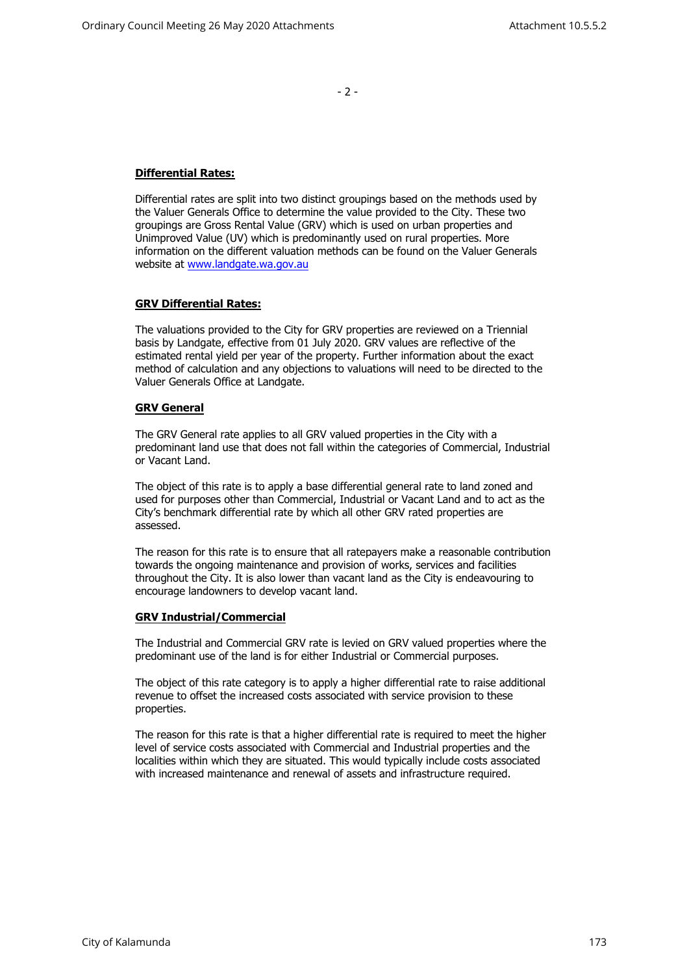- 2 -

## **Differential Rates:**

Differential rates are split into two distinct groupings based on the methods used by the Valuer Generals Office to determine the value provided to the City. These two groupings are Gross Rental Value (GRV) which is used on urban properties and Unimproved Value (UV) which is predominantly used on rural properties. More information on the different valuation methods can be found on the Valuer Generals website at [www.landgate.wa.gov.au](http://www.landgate.wa.gov.au/)

## **GRV Differential Rates:**

The valuations provided to the City for GRV properties are reviewed on a Triennial basis by Landgate, effective from 01 July 2020. GRV values are reflective of the estimated rental yield per year of the property. Further information about the exact method of calculation and any objections to valuations will need to be directed to the Valuer Generals Office at Landgate.

## **GRV General**

The GRV General rate applies to all GRV valued properties in the City with a predominant land use that does not fall within the categories of Commercial, Industrial or Vacant Land.

The object of this rate is to apply a base differential general rate to land zoned and used for purposes other than Commercial, Industrial or Vacant Land and to act as the City's benchmark differential rate by which all other GRV rated properties are assessed.

The reason for this rate is to ensure that all ratepayers make a reasonable contribution towards the ongoing maintenance and provision of works, services and facilities throughout the City. It is also lower than vacant land as the City is endeavouring to encourage landowners to develop vacant land.

#### **GRV Industrial/Commercial**

The Industrial and Commercial GRV rate is levied on GRV valued properties where the predominant use of the land is for either Industrial or Commercial purposes.

The object of this rate category is to apply a higher differential rate to raise additional revenue to offset the increased costs associated with service provision to these properties.

The reason for this rate is that a higher differential rate is required to meet the higher level of service costs associated with Commercial and Industrial properties and the localities within which they are situated. This would typically include costs associated with increased maintenance and renewal of assets and infrastructure required.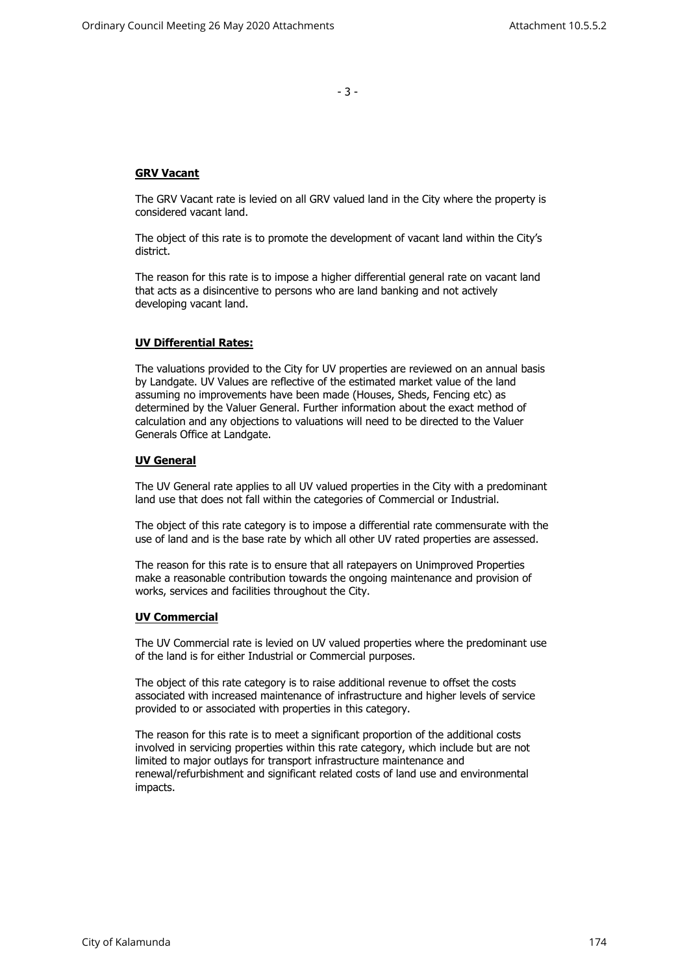- 3 -

## **GRV Vacant**

The GRV Vacant rate is levied on all GRV valued land in the City where the property is considered vacant land.

The object of this rate is to promote the development of vacant land within the City's district.

The reason for this rate is to impose a higher differential general rate on vacant land that acts as a disincentive to persons who are land banking and not actively developing vacant land.

## **UV Differential Rates:**

The valuations provided to the City for UV properties are reviewed on an annual basis by Landgate. UV Values are reflective of the estimated market value of the land assuming no improvements have been made (Houses, Sheds, Fencing etc) as determined by the Valuer General. Further information about the exact method of calculation and any objections to valuations will need to be directed to the Valuer Generals Office at Landgate.

#### **UV General**

The UV General rate applies to all UV valued properties in the City with a predominant land use that does not fall within the categories of Commercial or Industrial.

The object of this rate category is to impose a differential rate commensurate with the use of land and is the base rate by which all other UV rated properties are assessed.

The reason for this rate is to ensure that all ratepayers on Unimproved Properties make a reasonable contribution towards the ongoing maintenance and provision of works, services and facilities throughout the City.

#### **UV Commercial**

The UV Commercial rate is levied on UV valued properties where the predominant use of the land is for either Industrial or Commercial purposes.

The object of this rate category is to raise additional revenue to offset the costs associated with increased maintenance of infrastructure and higher levels of service provided to or associated with properties in this category.

The reason for this rate is to meet a significant proportion of the additional costs involved in servicing properties within this rate category, which include but are not limited to major outlays for transport infrastructure maintenance and renewal/refurbishment and significant related costs of land use and environmental impacts.